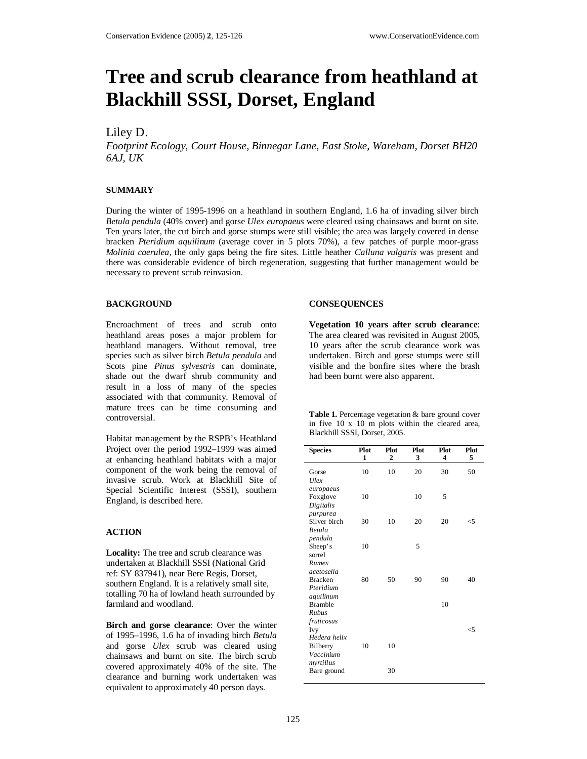# **Tree and scrub clearance from heathland at Blackhill SSSI, Dorset, England**

# Liley D.

*Footprint Ecology, Court House, Binnegar Lane, East Stoke, Wareham, Dorset BH20 6AJ, UK* 

### **SUMMARY**

During the winter of 1995-1996 on a heathland in southern England, 1.6 ha of invading silver birch *Betula pendula* (40% cover) and gorse *Ulex europaeus* were cleared using chainsaws and burnt on site. Ten years later, the cut birch and gorse stumps were still visible; the area was largely covered in dense bracken *Pteridium aquilinum* (average cover in 5 plots 70%), a few patches of purple moor-grass *Molinia caerulea,* the only gaps being the fire sites. Little heather *Calluna vulgaris* was present and there was considerable evidence of birch regeneration, suggesting that further management would be necessary to prevent scrub reinvasion.

#### **BACKGROUND**

Encroachment of trees and scrub onto heathland areas poses a major problem for heathland managers. Without removal, tree species such as silver birch *Betula pendula* and Scots pine *Pinus sylvestris* can dominate, shade out the dwarf shrub community and result in a loss of many of the species associated with that community. Removal of mature trees can be time consuming and controversial.

Habitat management by the RSPB's Heathland Project over the period 1992–1999 was aimed at enhancing heathland habitats with a major component of the work being the removal of invasive scrub. Work at Blackhill Site of Special Scientific Interest (SSSI), southern England, is described here.

## **ACTION**

**Locality:** The tree and scrub clearance was undertaken at Blackhill SSSI (National Grid ref: SY 837941), near Bere Regis, Dorset, southern England. It is a relatively small site, totalling 70 ha of lowland heath surrounded by farmland and woodland.

**Birch and gorse clearance**: Over the winter of 1995–1996, 1.6 ha of invading birch *Betula* and gorse *Ulex* scrub was cleared using chainsaws and burnt on site. The birch scrub covered approximately 40% of the site. The clearance and burning work undertaken was equivalent to approximately 40 person days.

#### **CONSEQUENCES**

**Vegetation 10 years after scrub clearance**: The area cleared was revisited in August 2005, 10 years after the scrub clearance work was undertaken. Birch and gorse stumps were still visible and the bonfire sites where the brash had been burnt were also apparent.

|                               |  |  |  |  |  |  |  |  | <b>Table 1.</b> Percentage vegetation & bare ground cover |  |
|-------------------------------|--|--|--|--|--|--|--|--|-----------------------------------------------------------|--|
|                               |  |  |  |  |  |  |  |  | in five 10 x 10 m plots within the cleared area,          |  |
| Blackhill SSSI, Dorset, 2005. |  |  |  |  |  |  |  |  |                                                           |  |

| <b>Species</b>                                     | Plot<br>1 | Plot<br>2 | Plot<br>3 | Plot<br>4 | Plot<br>5 |
|----------------------------------------------------|-----------|-----------|-----------|-----------|-----------|
| Gorse<br>Ulex                                      | 10        | 10        | 20        | 30        | 50        |
| europaeus<br>Foxglove<br>Digitalis                 | 10        |           | 10        | 5         |           |
| purpurea<br>Silver birch<br>Betula                 | 30        | 10        | 20        | 20        | <5        |
| pendula<br>Sheep's<br>sorrel                       | 10        |           | 5         |           |           |
| Rumex<br>acetosella<br><b>Bracken</b><br>Pteridium | 80        | 50        | 90        | 90        | 40        |
| aquilinum<br><b>Bramble</b><br>Rubus               |           |           |           | 10        |           |
| fruticosus<br>Ivy<br>Hedera helix                  |           |           |           |           | <5        |
| Bilberry<br>Vaccinium                              | 10        | 10        |           |           |           |
| myrtillus<br>Bare ground                           |           | 30        |           |           |           |